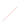Zich Mergelängen Contenence on Metomes Education and Leadership for M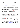#### **The Place and Importance of Mother's Songs, Lullabıes in Afyonkarahisar Culture**

*Saibe Özlem Kaya <sup>1</sup> <sup>1</sup>Öğretim Görevlisi, Afyon Kocatepe Üniversitesi <sup>2</sup>Öğretim Görevlisi, Sy. Afyon Kocatepe Üniversitesi Eğitim Fakültesi, İlköğretim Bölümü, Devlet Konservatuarı, Okul Öncesi Öğretmenliği Anabilim Dalı Sahne Sanatları Bölümü*

 *Berna Özkut <sup>2</sup> [saibezlem@yahoo.com](mailto:saibezlem@yahoo.com) brnkut@hotmail.com*

# **Abstract**

Lullabies are the products that are transferred from generation to the next in various periods of time, affecting children owing to their tunes and reflecting the culture of the community via many historical and social features such as its local elements, customs and traditions. Having existed from past to the present in almost every society in their folk culture, in their section of the genres of anonymous folk literature and have been sung to children with a tune in order to put them to sleep, to them silence when they cry and to relieve them by the performing mothers. In this study, the place and the importance of the lullabies that are the women-creation in the Turkish socio-cultural life and are the remarkable treasure chest of our culture in Afyonkarahisar culture will be studied under the light of the information gathered through interviews with Afyonkarahisar local people and the literature review. This study has great importance because it is a compilation of lullabies that are sung firstly to the babies and then to the children of Afyonkarahisar city, constituting a source to future studies and shedding light to the literature. In this regard, the fundamental aim of this is to put forward the place and the importance of lullaby kinds in the cultural tradition of Afyonkarahisar, which are considered as a common cultural heritage to all people of the city. **Keywords:** Afyonkarahisar, Culture, Lullaby.

#### **1. Introductıon**

#### **I. Afyonkarahisar:**

Formerly known as Afyon, Afyonkarahisar whose happe part of the land remains in the Aegean Region extends into the Inner Anatolia and Mediterranean Region. Afyonkarahisar has an area of 14,295 meter square and is surrounded by Eskisehir province in the north, Konya province in the east, Isparta province in the southern, Burdur and Denizli provinces in  $\text{tr} \mathbf{C}$  southwest and Uşak ve Kütahya provinces in the west (AnaBritannica,1993, Vol: I,158). Located in the Aegean Region, Afyonkarahisar was home to many important battles in the Turkish War of Independence. Afyonkarahisar is a city that has made a name in marble, thermal tourism and food sectors both in Turkey and abroad. Up till 2005, the city was called as Afyon but the old name of the city was changed into the Afyonkarahisar. Afyonkarahisar is situated at the transit point from the Aegean Region to the Inner Anatolia Region. Therefore, the region possesses diversity. This diversity is also reflected in the area's culture and has created a remarkably rich culture (wikipedia.org.com). With the archaeological remains reflecting thousands years old culture and art of civilizations, century-old buildings, caves formed through millions of years, thermal richness and natural beauty, ruins, centuries old ongoing handicrafts, fairy chimneys,  $\sqrt{\phi}$ en-air temples and cuisine, Afyonkarahisar is a place with great potential for tourism. Afyonkarahisar has various cultural and tourism values such as spas, rich nature, historical artifacts, alternative tourism diversity, culture and health tourism, festivals and similar events. Afyonkarahisar is resided at a crossroad in the west side of Anatolia serving as a natural door connecting the north to the south and east to the west by road and rail. Afyonkarahisar has claimed that Afyonkarahisar is the "Capital of thermal Tourism in Turkey" since thermal tourism has gained importance in recent years as an alternative to the sea and sun tourism and also constitutes a part of health tourism [\(www.afyonkulturturizm.gov.tr\).](http://www.afyonkulturturizm.gov.tr/) The written record history of the city began in the year 3000 BC and the city has hosted a big number of civilizations.

## **II. Culture**:

Culture is a term that may take on different meanings. As a concept related to the humans, culture is a meaning and significance system created through history. This is a beliefs and customs system used by a group of people in understanding, regulating and structuring their individual and collective life (wikipedia.org.com).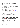According to the Turkish Language Institution dictionary, the definition of culture (crop, "hars" in ancient Turkish language) concept is as follows: "All the spiritual and material values created in the process of historical and social development and all the means used in creation of the values and transmission of them to the next generations, which indicates the extent of a man's sovereignty to his natural and social environment. Sociologically, the culture is what surrounds us and is the social heritage we have learned from the people.

Culture is the sum of material and spiritual heritages the people have inherited from the history of societies. The structures that are formed by sense, thought and action of community create the culture (Güçlü, 2003:148). Culture is a trend that can be transferred to the next generation and is originated since an individual's adolescence period. Culture gains continuity with what the individuals have achieved with the process of learning throughout their life (Sığrı et al., 2009:3).

Culture which is the source of the greatest impact on society and the common characteristics of  $\mathbf{\hat{M}}$ ividuals in the group is a learned lifestyle that is transmitted from person to person (Aytaç, 2006: 153). Culture, in other words, is the shaped common material and spiritual values of a society that provide tradition, customs, art, thought, historical background and unity of thinking. Culture means the "basic yeast" $\alpha$  a community which comes from a certain root. The total unity of language, writing, history, religion, customs, traditions, customs, literature and art determine that society's main yeast that is the culture itself [\(www.kulturelbellek.com\).](http://www.kulturelbellek.com/)

The key factor to the existence of the culture concept is the presence of **Aluman** community and families and individuals composing them. All cultural factors and cultural elements have been created by people. That is to say that, the main source of culture is the human. Whether it is an understanding or a phenomenon, no can speak of the culture unless there is a society. Moreover, an individual should first be able to feel himself as a member of a society so that there could be a cultural phenomenon (Exiny,1995,19). If relations in culture system become severe, the society will collapse and disappear (Rıza,200, 352). For that reason, we have to get to know our national culture, to live, to survive, develop and transfer to future generations. Because culture is not a concept inherited or acquired with instinctive ways but rather the concept is acquired by learning and education (Güvenç,2002).

Cultural heritage is the tangible resource, whose formation is based on human labor and natural factors, holding universal values in terms of historical, artistic, scientific, aesthetic, anthropological and ethnological perspectives. Moreover, they are the structures that cannot be moved and on which the impact of human creativity still remains. In addition, cultural heritages are man-made portable works holding importance in regards to the aesthetic and artistic aspects. On the other hand, they are also the arts that have been attributed to all people including crafts and cooking techniques. They are all the intangible sources consisting of traditions, customs, folkways that have the ability to affect the daily life and belief of the people (Miller, 2005: 48).

# **III. Culture in Afyonkarahisar**:

Because of  $\mathbb{Q}$  location of Afyonkarahisar province, which is located at the intersection of the roads, it has created a rich culture in the city. Afyonkarahisar culture bears the traces of all civilizations lived on its land during the past five thousand years of its history. Afyonkarahisar owns a rich culture with its original language, music and folklore, clothes, handicrafts, cuisine, ceremonies on special occasions after the birth and death (Ertürk and Yetim, 2015:521).

**Rug Weaving**: As we look at Afyonkarahisar and its districts in terms of historical background, it can be said that a number of tribes have settled in these lands. This situation has led to huge diversity in rugs woven by these tribes. As a result, Afyonkarahisar is a very rich region especially in terms of rug weaving. Besides, it is possible to find examples of light rugs and runners with geometric shapes (Bayraktar:51).

**Marble Business**: The marbles extracted from the rich marble quarries of Afyonkarahisar, especially from İscehisar since 313 B.C., have earned a reputation in Anatolia and other countries. It is understood from the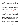archaeological findings that the Dokimeon (İşcehisar) marbles were taken to Rome and Africa. It was stated in the notes of French archaeologist and traveler Charles Texier that the very first time that he had seen the violet veined white Synnada marble was in Afyonkarahisar. It is known that marbles have been used for various purposes since ancient times. Marble is used in architectural constructions, the decoration works, sculpture and souvenirs making (afyontanitim.net).

**Felt Making**: Felt is formed by compressing the wool with pressure and hot water, and is a nonwoven cloth that has no weft and warp. The hair of sheep, camel, goat and rabbit wools are suitable fibers for making felts. In Afyonkarahisar, mothers would sing the lullaby as "May my baby become a felt maker." (Yalçınkaya, 2011: 1863).

**Harness Making**: Harness Making is of one of the handicrafts in Afyonkarahisar which dates back to old times. It is a handicraft kind that deals with making leather products such as handstand, crupper star, harness, bridle and thong that are used in horse-drawn carriages. After collecting buffalo leathers, harness maker turns the leather into a kind of strap and then produces the harness equipment.

Horse-drawn Carriages: This handicraft was developed parallel to harness making. Horse-drawn carriages were manufactured in various formats like Tatar spring horse-drawn carriage and carriages.

Kerchief Making: Colored cotton kerchiefs were very common in 1900's<sup>2</sup>the most important feature of Afyonkarahisar kerchiefs is that it is sawn as long and short faced and after it is sawn, it can be turned inside out.

Wicker and Boyra (straw mat) Knitting: Some elderly persons arry on wicker and boyra (straw mat) knitting in Yakasinek and Taşköprü towns of Afyonkarahisar. The raw material of Boyra is a special type of straw cultivated from Lake Eber. Compared to straw, Boyra is a harder material and is also used in building roof insulation against heat and water. The straw in softer structure is made use of for preventing the moisture caused by the ground of the houses. In addition, it is used by being laid under the carpets and rugs to provide heat insulation (afyontanitim.net).

# **IV. Afyonkarahisar Lullabıes:**

It can be said that lullabies are a kind of musical genres that are usually in the kind of mani (folk poetry) made of a stanza. Lullaby was called  $\circ$  "balubalu" in Diwan Lügati't Türk (Turkish Language Glossary). (www.turkceciler.com). "Lullabies are the words in verse or prose that are sung with tunes by the mothers while breast feeding their children so as to put them to sleep." (Elçin, 1986:271). Lullabies are sung to the babies who are between at least two-three months old and three to four years old, especially when mothers are keeping them on their lap, feet or shaking a cradle to put them to sleep quicker and easier and to silence the cry of the babies. Lullabies are a kind of Turkish folk song formed of a stanza and reflect mother's state of mind moment (Çelebioğlu ,  $1995$ : 9). Lullabies are the tunes which are sung in mother's lap, knee or in the cradle to hush the crying baby  $\mathbf{\Phi}$  and to put the children to sleep when sleeping time comes (Alptekin, 1990: 63).

Lullaby, makes important contributions to the baby's language, mental, emotional and physical development.  $\Omega$ 

The lullabies sung before bed prepare children to sleep and give them confidence. Lullabies help create mental development at an early age and long-term confidence in children. Moreover, they help development and structuring the personality in children. At the same time, it stimulates the imagination and takes the children from reality to dreams. In short, lullabies make important contributions to the children's language, cognitive, emotional, social and physical development (Güneş, 2010, p.30).

Lullabies allow the transmission of the values of a society from one generation to the next generation. In order to learn a language well or to teach it, it is a must to benefit from the works that reflect the culture of the society in which the language is spoken. Many things are transferred to children through lullabies such as Turkish family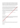structure, traditions, customs and traditions, religious beliefs, living conditions, relations within the family, the love shown to the baby. Everything affects the child's listening and speaking skills such as the melody of a lullaby and the tone of the conversation in the family. As a result of that, children will comprehend the environment they are in. Also, in some lullabies indigenous words are used (Toker,2011, p.26). Lullabies are an important source by which the language is firstly animated in individuals. In a setting in which the child has recently begun to perceive the environment, he feels the magical air of the music in the ear by which he sinks into sleep, which is as important as nutrition, in a state where the words of the lullaby are turned into music.

This situation is of great importance for the child's mental and physical health (Ungan, 2009, p.3).

Lullabies that play an important role in Turkish culture shape our culture and are important tools that allow the transfer of our culture to future generations. Lullabies are one of the important cultural heritages transferring the time of life, community rules, traditions and customs and habits to the future. The elements today forming the culture have reached us as heritages. Lullabies that are one of the most important forwarder elements of our culture are the first instances where children meet their own national culture.

The lullabies that are the most ancient oral culture products and known to be a common genre for all people still continue their existence within Turkish communities. Revealing the place and importance of the lullaby type, which is accepted as a common heritage for all people, in cultural traditions in  $\mathbb{Q}$ yonkarahisar constitutes the main goal of the study. This is why it is also important to do research on lullabies.

# **V. Lullaby Examples:**

The following lullaby examples were taken from 10 women who were interviewed for the study:

Ninnilerin hoş geliyor Koyun ile Koç geliyor

Sen ağlama gülüm

Baban seni çok seviyor ninni.

The lullaby example above is from  $\mathbf{A}$  Region. As the attention is drawn to the lyrics (such as; Ram and Sheep)of the lullaby, it is clearly  $\frac{1}{2}$  that they show the effect of their culture. Since livestock is the most important source of means of living in this region, it has also become the subject of lullabies. When viewed from another aspect, the lyrics of this lullaby reveal the living conditions of parents.

Ninni deyip belediğim

Al bağında dolatığım

Seni Hak'tan dilediğim

Uyusun da büyüsün ninni.

The lullaby example above illustrates the mother's current intimacy, state of mind and wishes and hopes. The lullabies create a friendly atmosphere filled with symbolic motifs allowing the integration of mother and baby.

Allı kiraz ballı kiraz Bana gel biraz

Kiraz vakti geçti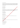Uyusun da büyüsün nenni.

The lullaby example above reflects the mother's current sincere and friendly feelings and wishes. Additionally, as lyrics (such as; white cherry) of the lullaby are carefully surveyed, it is clearly understood that the lullaby demonstrates the effect of its culture. Cherry cultivation and production is an important source of livelihood in Afyon Region (Sultandağı and Çay Districts) and this culture in Afyonkarahisar has been the subject of lullabies.

Koyun gelir guzusuynan

Ayağının tozusuynan

Ben koyunu güderim Ardı körpe guzusuynan

Eeee e guzuma ee.

The lullaby example above is one of the lullabies from Afyon Region. If the lyrics of the lullaby are carefully read, it can be obviously seen that the lullaby proves the effect of its culture. Due to the fact that livestock is the most important source of income in this region, it has also been the subject of lullables as well.

Ninnilerle belediğim

Bir Mevlâ'dan dilediğim Al bağırdak doladığım

Uyuyasın kuzum ninni

Büyüyesin kuzum ninni Yaşayasın kuzum ninni!

The lullaby example above reflects the matter's current sincere and friendly feelings, wishes and wishes.

Ninni diyem uyutayım

Kuzularla yürüteyim

Ninni diyem uykun gelsin Allah uzun ömür yörem.

The lullaby example above shows the mother's current sincere feelings and she wishes her baby or child to live a long life

Bahçeye kurdum salıncak,

Yavrumun eline verdim oyuncak, Yavrumun babası gelecek,

Lokum kaymak getirecek.

Ninni bebeğim ninni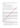The example lullaby above belongs to Afyon Region. If the stated words like "delight and cream" in the lullaby are studied attentively, it may be easy to notice the effects of their local culture in Afyon Region.

# **VI. Research Objectıves**

The objectives that lie beneath in examining these issues are:

a-To contribute to the local culture of the Afyonkarahisar province, which is selected as the research field, b-To satisfy the curiosity of the researchers about the lullaby culture,

c-To draw attention to the lullabies sung in culture of Afyonkarahisar, d-To reach the lullabies and determine how the lullabies are remembered,

e-To determine the current status of the lullabies that have been sung from the past up to the present.

It is aimed with this study that the lullabies, which are located in the rich culture of Afyonkarahisar and are the cultural heritage, are ensured that they be transferred to future generations and not be for experiment. In addition, it is believed that the study will be a source for the studies to be carried out later. believed that the study will be a source for the studies to be carried out later.

# **2. Method**

In this study, field search related with folk culture products, written restances and interview methods were made use of. A qualitative approach was adopted in the collection of data.  $\hat{C}_{\text{H}}^{\text{H}}$  the descriptive research technique, it was intended to define and collect detailed information about a subject of interest issues. The research has tried to describe and explain "what" the events, objects, assets, organizations, groups, and various areas are (Punch 1998). Qualitative data was collected by interview method that includes 10 women aged between 50 and 70 living in Afyonkarahisar.

The gained data was analyzed by content analysis and was then coded. Thus, the lullabies that are important elements of cultural transmission and important cultural heritage have been determined, and the reasons why they are transferred from one generation to the next generation were also studied; and whether the lullabies are still being sung today or not has been presidenced. As a result, some suggestions were made. The data required for this research was gained by collecting the resources on this topic, analysis of the responses to the interview questions applied to 10 women and the own experience of the researchers.

Prior to the meeting with the source persons, the questions to be asked were prepared in advance and these question were directed to them in conversations without making them feel bored. Periodicals, books, articles, theses in Higher Education Documentation Centre on the subject have been reviewed in terms of benefiting from the written sources and then they were used in this study.

# **3. Fındıngs and Interpretatıon**

نگاءِ

In this part, there are findings gained from the responses that were provided by 10 female interviewees. The findings obtained through interviews were given by sorted questions.

- 1. First of all, 10 women were asked: "Which elements do the Afyonkarahisar lullabies contain in their cultural fabric?" The answers to this question are as follows: They contain culture of Afyonkarahisar  $(n=3)$ , They contain mothers' *expectations*  $(n=2)$ , They contain feelings of mothers  $(n=2)$ , They contain rhymes and folk poetry  $(n=2)$ , They contain *ballads and laments* $(n=1)$ .
- 2. Secondly, 10 women were directed this question: "Do you think the lullabies are important cultural heritage in Afyonkarahisar culture?" The answers to this question are; Yes, they are important cultural heritage *(n=8)*, Yes, they are inherited from the mothers *(n=2).*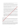- 3. 10 women were thirdly asked: "Do you think the lullabies are mother's song?" The response to this question is that they all believe that the lullabies are mother's song *(n=10).*
- 4. As the fourth question, 10 interviewees were asked: "In today's conditions if you had a newborn child, would you prefer to sing a lullaby yourself or would you prefer to make your baby just listens a lullaby? The response to this question is; I would prefer to sing a lullaby using my own voice  $(n=10)$ .
- 5. As for the next question, 10 interviewees were invited to answer this question: "Do you think the lullabies are sung today?" The responses to this question are: No, they are not sung *(n=6)*, Yes, they are rarely sung  $(n=3)$ , Yes, they are sung in rural areas  $(n=1)$ .
- 6. 10 female participants were then asked: "Do you think there are sufficient resources and materials related to the lullabies? The response to this question is: No, there are no sufficient resources  $(n=10)$ .
- 7. As for the seventh question, 10 female participants were directed: "In what ways the lullabies are influential in baby's development? The responses to this question are: The lumbies are influential in baby's whole development processes  $(n=6)$ , The lullabies are influential in  $\gamma$  is *social and emotional development (n=3),* The lullabies are influential in baby's language development  $(n=1)$ .
- 8. As for the next question, 10 female participants were then asked: What do you think are the causes that manis (known as Turkish poem/folk poetry) have lasted until present day? The responses to this question are: Because mothers sing them  $(n=9)$ , Because they are transferred from one generation to the next  $(n=1)$ .
- 9. As for the final question, 10 female interviewes were asked: "What would you suggest so as to protect our lullabies, which are important cultural heritage of our country, and to hand them from generation to the next?" The responses to this question vary as follows: We could write  $(n=4)$ , I may *teach them to my children so that thex could hand them to theirs*  $(n=3)$ *, We need to teach the new* generations and enable the lullabes *to be transferred*  $(n=1)$ , We need to encourage the new *generations by singing lullabies*  $\sqrt{N-1}$ *), The ones know lullabies should share them with those who do not know (n=1).*

# **4. Conclusion and Suggestions**

Lullabies are the products of society that are transferred from generation to generation in some certain time units, have the ability to affect the children in terms of their tunes and reflecting the culture of the society in terms of local elements, customs and traditions, history and social features along holding qualification of cultural heritage.

It was highlighted as a result of the study that lullabies are precious in Afyonkarahisar culture and there is a need to protect them. In order to achieve this aim, it was mentioned that lullabies should be repeated by the people before they are forgotten and should be transferred from generation to generation.

The elements that make up our culture have been left us as a heritage today. One of the most important forwarder elements of our culture, lullabies are the first instances where children meet with their national culture. In the past, lullabies were considered to be the songs murmured by the baby's mother to put him to sleep or anonymous mother songs reflecting the mother-baby-cradle figure. However, today they are viewed as scientific and cultural data which is actively studied and is great importance to child development.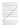As you pay attention to the lyrics of the lullabies from Afyon Region, the effect of their culture can be clearly seen on lullabies. When viewed from another aspect, the lyrics of the lullabies reveal the living conditions of the parents. Lullabies, in this context, create a friendly environment filled with symbolic motifs and also help the integration of mother and baby come out.

Being important mother songs, lullabies that play an important role in Turkish culture are important tools that allow the transfer of our culture to future generations along with shaping our own culture. According to research results, lullabies are very important and valuable parts of the culture and it was concluded that the absence of lullabies is a great deficiency in terms of cultural heritage. It was also stated that lullabies are significant cultural heritages and a valuable legacy of the mother.

As a result of the interviews, it was detected that mothers have transformed some certain rhymes, songs and laments into lullabies format and then they have sung them to their babies.

Depending on these results, it was suggested that lullabies and the tradition of lullaby staging should be preserved and be sustained by which lullabies could be passed on to future generations.

On the official websites of the city, districts and municipalities, there should be some information concerning the lullabies and a web site should be created about lullabies. Studies concerning  $\mathbf{f}(\mathbf{r})$  lullabies, which are sung in Afyonkarahisar and the surrounding districts, should be carried out and the results of these studies need to be announced to the people.

More resources should be written stressing the importance of the lullables in child's development. The place and the importance of the lullabies in the child's development should be transferred to mother by the experts in the field and an awareness of the lullabies needs to be created in mothers.

O

The previous generations should be reached out in terms of this issue and they should be asked what lullabies they sang to their children in the past. These lullabies should be filmed or voice recording needs to be performed. After compiling the lullabies, they should be put into notes. Besides, a lullaby archive should be created which will also serve as a cultural herioge related to the lullabies.

Within university-city cooperation, seminars and workshops about lullabies can be arranged at university by the faculty of education and conservatory. Thus, it may be ensured that mothers may not forget the tradition of lullaby singing and also the provision of cultural transmission of the mother's songs, lullabies, could be achieved.

# **5. References**

Alptekin, A. B. (1990), "Ninni", Türk Dili ve Edebiyatı Ansiklopedisi, C.VII, İstanbul: Dergâh Yayınları, s.63-65.

Ayta $\hat{Q}$ . (2006). Girisimcilik: Sosyo-Kültürel Bir Perspektif, Dumlupınar Üniversitesi Sosyal Bilimler Dergisi,  $\blacktriangleright$  Ağustos (15), 139-160.

Bayraktar, S.(2005). Afyon Çevresi Yörük Dokumaları.acikerisim.fsm.edu.tr.

- Çelebioğlu, A.(1995), Türk Ninniler Hazinesi*,* İstanbul: Kitabevi Yayınları. Elçin, Ş. (1986), Halk Edebiyatına Giriş*,* 2.b., Ankara: KTB Yayınları. Erinç, S.M.(1995). Kültür Sanat; Sanat Kültür, Çınar Yayınları,İstanbul.
- Ertürk, F. ve Yetim, F. (2015). Afyonkarahisar İli Antikacılarında Bulunan Hesap İşi İşlemeli Ürünler Üzerine Bir Araştırma. Uluslararası Sanat Araştırmaları Dergisi, cilt:8, sayı:36, Şubat 2015.

Güçlü, N. (2003). Örgüt Kültürü, Kırgızistan Manas Üniversitesi, Sosyal Bilimler Dergisi**,** 6, 147-159.

Güneş, F. (2010). Ninnilerin çocukların dil ve zihinsel gelişimine etkisi. *Zeitschrift für die Welt der Türken,* 2(3), 27-38.